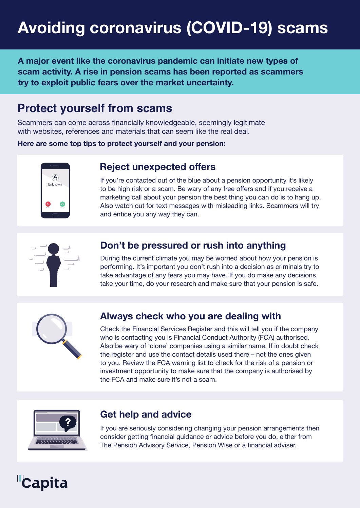## **Avoiding coronavirus (COVID-19) scams**

**A major event like the coronavirus pandemic can initiate new types of scam activity. A rise in pension scams has been reported as scammers try to exploit public fears over the market uncertainty.**

### **Protect yourself from scams**

Scammers can come across financially knowledgeable, seemingly legitimate with websites, references and materials that can seem like the real deal.

**Here are some top tips to protect yourself and your pension:**



#### **Reject unexpected offers**

If you're contacted out of the blue about a pension opportunity it's likely to be high risk or a scam. Be wary of any free offers and if you receive a marketing call about your pension the best thing you can do is to hang up. Also watch out for text messages with misleading links. Scammers will try and entice you any way they can.



#### **Don't be pressured or rush into anything**

During the current climate you may be worried about how your pension is performing. It's important you don't rush into a decision as criminals try to take advantage of any fears you may have. If you do make any decisions, take your time, do your research and make sure that your pension is safe.



#### **Always check who you are dealing with**

Check the Financial Services Register and this will tell you if the company who is contacting you is Financial Conduct Authority (FCA) authorised. Also be wary of 'clone' companies using a similar name. If in doubt check the register and use the contact details used there – not the ones given to you. Review the FCA warning list to check for the risk of a pension or investment opportunity to make sure that the company is authorised by the FCA and make sure it's not a scam.



#### **Get help and advice**

If you are seriously considering changing your pension arrangements then consider getting financial guidance or advice before you do, either from The Pension Advisory Service, Pension Wise or a financial adviser.

### "Capita